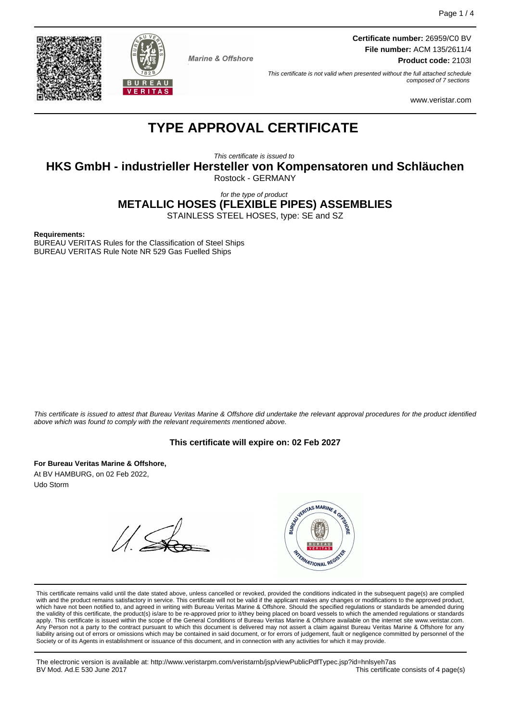



**Marine & Offshore** 

**Certificate number:** 26959/C0 BV **File number:** ACM 135/2611/4 **Product code:** 2103I

This certificate is not valid when presented without the full attached schedule composed of 7 sections

www.veristar.com

# **TYPE APPROVAL CERTIFICATE**

This certificate is issued to

**HKS GmbH - industrieller Hersteller von Kompensatoren und Schläuchen**

Rostock - GERMANY

for the type of product

**METALLIC HOSES (FLEXIBLE PIPES) ASSEMBLIES**

STAINLESS STEEL HOSES, type: SE and SZ

**Requirements:**

BUREAU VERITAS Rules for the Classification of Steel Ships BUREAU VERITAS Rule Note NR 529 Gas Fuelled Ships

This certificate is issued to attest that Bureau Veritas Marine & Offshore did undertake the relevant approval procedures for the product identified above which was found to comply with the relevant requirements mentioned above.

### **This certificate will expire on: 02 Feb 2027**

**For Bureau Veritas Marine & Offshore,** At BV HAMBURG, on 02 Feb 2022, Udo Storm



This certificate remains valid until the date stated above, unless cancelled or revoked, provided the conditions indicated in the subsequent page(s) are complied with and the product remains satisfactory in service. This certificate will not be valid if the applicant makes any changes or modifications to the approved product, which have not been notified to, and agreed in writing with Bureau Veritas Marine & Offshore. Should the specified regulations or standards be amended during<br>the validity of this certificate, the product(s) is/are to be re apply. This certificate is issued within the scope of the General Conditions of Bureau Veritas Marine & Offshore available on the internet site www.veristar.com. Any Person not a party to the contract pursuant to which this document is delivered may not assert a claim against Bureau Veritas Marine & Offshore for any liability arising out of errors or omissions which may be contained in said document, or for errors of judgement, fault or negligence committed by personnel of the<br>Society or of its Agents in establishment or issuance of t

The electronic version is available at: http://www.veristarpm.com/veristarnb/jsp/viewPublicPdfTypec.jsp?id=hnlsyeh7as This certificate consists of 4 page(s)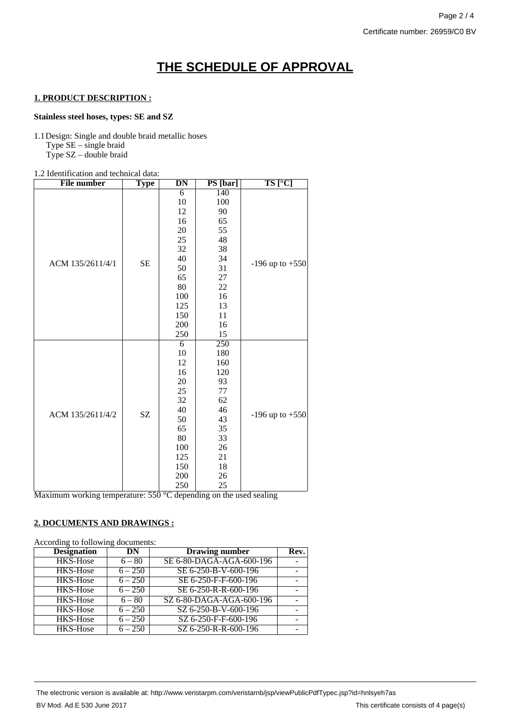# **THE SCHEDULE OF APPROVAL**

#### **1. PRODUCT DESCRIPTION :**

#### **Stainless steel hoses, types: SE and SZ**

1.1Design: Single and double braid metallic hoses Type SE – single braid Type SZ – double braid

#### 1.2 Identification and technical data:

| <b>File number</b> | <b>Type</b> | DN  | PS [bar] | $TS$ [ $°C$ ]       |
|--------------------|-------------|-----|----------|---------------------|
|                    |             | 6   | 140      |                     |
|                    |             | 10  | 100      |                     |
|                    |             | 12  | 90       |                     |
|                    |             | 16  | 65       | $-196$ up to $+550$ |
|                    |             | 20  | 55       |                     |
|                    | <b>SE</b>   | 25  | 48       |                     |
|                    |             | 32  | 38       |                     |
| ACM 135/2611/4/1   |             | 40  | 34       |                     |
|                    |             | 50  | 31       |                     |
|                    |             | 65  | 27       |                     |
|                    |             | 80  | 22       |                     |
|                    |             | 100 | $16\,$   |                     |
|                    |             | 125 | 13       |                     |
|                    |             | 150 | 11       |                     |
|                    |             | 200 | 16       |                     |
|                    |             | 250 | 15       |                     |
|                    |             | 6   | 250      | $-196$ up to $+550$ |
|                    |             | 10  | 180      |                     |
|                    |             | 12  | 160      |                     |
|                    |             | 16  | 120      |                     |
|                    |             | 20  | 93       |                     |
|                    |             | 25  | 77       |                     |
|                    | SZ          | 32  | 62       |                     |
| ACM 135/2611/4/2   |             | 40  | 46       |                     |
|                    |             | 50  | 43       |                     |
|                    |             | 65  | 35       |                     |
|                    |             | 80  | 33       |                     |
|                    |             | 100 | 26       |                     |
|                    |             | 125 | 21       |                     |
|                    |             | 150 | 18       |                     |
|                    |             | 200 | 26       |                     |
|                    |             | 250 | 25       |                     |

Maximum working temperature: 550 °C depending on the used sealing

#### **2. DOCUMENTS AND DRAWINGS :**

According to following documents:

| <b>Designation</b> | DN        | <b>Drawing number</b>    | Rev. |
|--------------------|-----------|--------------------------|------|
| <b>HKS-Hose</b>    | $6 - 80$  | SE 6-80-DAGA-AGA-600-196 |      |
| <b>HKS-Hose</b>    | $6 - 250$ | SE 6-250-B-V-600-196     |      |
| <b>HKS-Hose</b>    | $6 - 250$ | SE 6-250-F-F-600-196     |      |
| <b>HKS-Hose</b>    | $6 - 250$ | SE 6-250-R-R-600-196     |      |
| <b>HKS-Hose</b>    | $6 - 80$  | SZ 6-80-DAGA-AGA-600-196 |      |
| <b>HKS-Hose</b>    | $6 - 250$ | SZ 6-250-B-V-600-196     |      |
| <b>HKS-Hose</b>    | $6 - 250$ | SZ 6-250-F-F-600-196     |      |
| <b>HKS-Hose</b>    | $6 - 250$ | SZ 6-250-R-R-600-196     |      |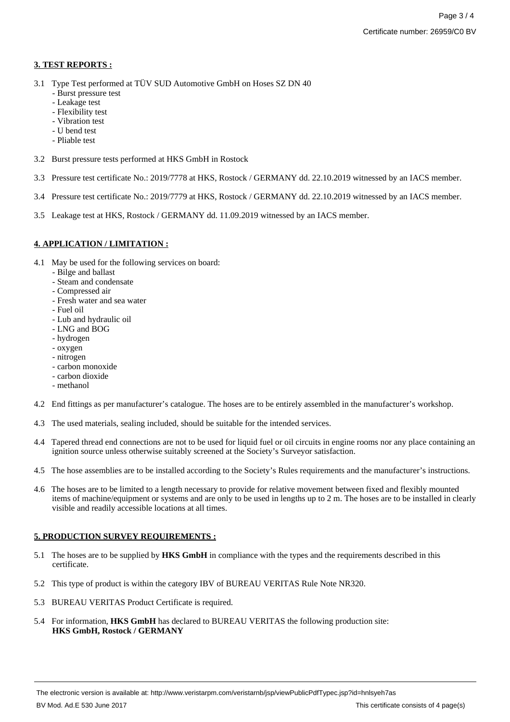## **3. TEST REPORTS :**

- 3.1 Type Test performed at TÜV SUD Automotive GmbH on Hoses SZ DN 40
	- Burst pressure test
	- Leakage test
	- Flexibility test
	- Vibration test
	- U bend test
	- Pliable test
- 3.2 Burst pressure tests performed at HKS GmbH in Rostock
- 3.3 Pressure test certificate No.: 2019/7778 at HKS, Rostock / GERMANY dd. 22.10.2019 witnessed by an IACS member.
- 3.4 Pressure test certificate No.: 2019/7779 at HKS, Rostock / GERMANY dd. 22.10.2019 witnessed by an IACS member.
- 3.5 Leakage test at HKS, Rostock / GERMANY dd. 11.09.2019 witnessed by an IACS member.

## **4. APPLICATION / LIMITATION :**

- 4.1 May be used for the following services on board:
	- Bilge and ballast
	- Steam and condensate
	- Compressed air
	- Fresh water and sea water
	- Fuel oil
	- Lub and hydraulic oil
	- LNG and BOG
	- hydrogen
	- oxygen
	- nitrogen
	- carbon monoxide
	- carbon dioxide
	- methanol
- 4.2 End fittings as per manufacturer's catalogue. The hoses are to be entirely assembled in the manufacturer's workshop.
- 4.3 The used materials, sealing included, should be suitable for the intended services.
- 4.4 Tapered thread end connections are not to be used for liquid fuel or oil circuits in engine rooms nor any place containing an ignition source unless otherwise suitably screened at the Society's Surveyor satisfaction.
- 4.5 The hose assemblies are to be installed according to the Society's Rules requirements and the manufacturer's instructions.
- 4.6 The hoses are to be limited to a length necessary to provide for relative movement between fixed and flexibly mounted items of machine/equipment or systems and are only to be used in lengths up to 2 m. The hoses are to be installed in clearly visible and readily accessible locations at all times.

### **5. PRODUCTION SURVEY REQUIREMENTS :**

- 5.1 The hoses are to be supplied by **HKS GmbH** in compliance with the types and the requirements described in this certificate.
- 5.2 This type of product is within the category IBV of BUREAU VERITAS Rule Note NR320.
- 5.3 BUREAU VERITAS Product Certificate is required.
- 5.4 For information, **HKS GmbH** has declared to BUREAU VERITAS the following production site: **HKS GmbH, Rostock / GERMANY**